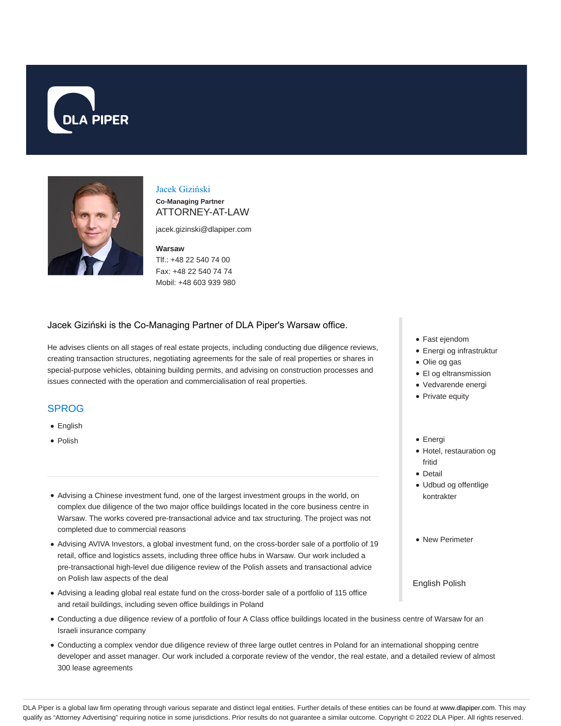



## Jacek Giziński

**Co-Managing Partner** ATTORNEY-AT-LAW

jacek.gizinski@dlapiper.com

#### **Warsaw**

Tlf.: +48 22 540 74 00 Fax: +48 22 540 74 74 Mobil: +48 603 939 980

### Jacek Giziński is the Co-Managing Partner of DLA Piper's Warsaw office.

He advises clients on all stages of real estate projects, including conducting due diligence reviews, creating transaction structures, negotiating agreements for the sale of real properties or shares in special-purpose vehicles, obtaining building permits, and advising on construction processes and issues connected with the operation and commercialisation of real properties.

#### SPROG

- English
- Polish
- Advising a Chinese investment fund, one of the largest investment groups in the world, on complex due diligence of the two major office buildings located in the core business centre in Warsaw. The works covered pre-transactional advice and tax structuring. The project was not completed due to commercial reasons
- Advising AVIVA Investors, a global investment fund, on the cross-border sale of a portfolio of 19 retail, office and logistics assets, including three office hubs in Warsaw. Our work included a pre-transactional high-level due diligence review of the Polish assets and transactional advice on Polish law aspects of the deal
- Advising a leading global real estate fund on the cross-border sale of a portfolio of 115 office and retail buildings, including seven office buildings in Poland
- Conducting a due diligence review of a portfolio of four A Class office buildings located in the business centre of Warsaw for an Israeli insurance company
- Conducting a complex vendor due diligence review of three large outlet centres in Poland for an international shopping centre developer and asset manager. Our work included a corporate review of the vendor, the real estate, and a detailed review of almost 300 lease agreements
- Fast ejendom
- Energi og infrastruktur
- Olie og gas
- El og eltransmission
- Vedvarende energi
- Private equity
- Energi
- Hotel, restauration og fritid
- Detail
- Udbud og offentlige kontrakter
- New Perimeter
- English Polish